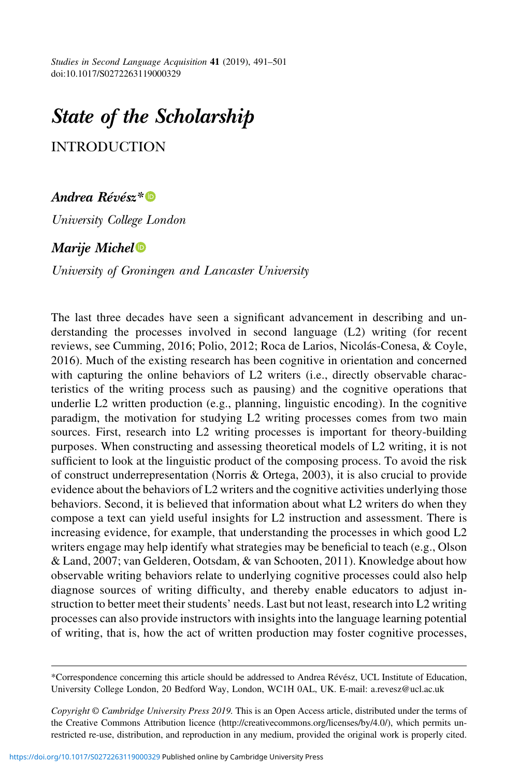Studies in Second Language Acquisition 41 (2019), 491–501 doi:10.1017/S0272263119000329

# State of the Scholarship

INTRODUCTION

## Andrea Révész[\\*](https://orcid.org/0000-0003-1093-4336)<sup>®</sup>

University College London

## Marije Miche[l](https://orcid.org/0000-0003-1426-4771)

University of Groningen and Lancaster University

The last three decades have seen a significant advancement in describing and understanding the processes involved in second language (L2) writing (for recent reviews, see Cumming, 2016; Polio, 2012; Roca de Larios, Nicolás-Conesa, & Coyle, 2016). Much of the existing research has been cognitive in orientation and concerned with capturing the online behaviors of L2 writers (i.e., directly observable characteristics of the writing process such as pausing) and the cognitive operations that underlie L2 written production (e.g., planning, linguistic encoding). In the cognitive paradigm, the motivation for studying L2 writing processes comes from two main sources. First, research into L2 writing processes is important for theory-building purposes. When constructing and assessing theoretical models of L2 writing, it is not sufficient to look at the linguistic product of the composing process. To avoid the risk of construct underrepresentation (Norris & Ortega, 2003), it is also crucial to provide evidence about the behaviors of L2 writers and the cognitive activities underlying those behaviors. Second, it is believed that information about what L2 writers do when they compose a text can yield useful insights for L2 instruction and assessment. There is increasing evidence, for example, that understanding the processes in which good L2 writers engage may help identify what strategies may be beneficial to teach (e.g., Olson & Land, 2007; van Gelderen, Ootsdam, & van Schooten, 2011). Knowledge about how observable writing behaviors relate to underlying cognitive processes could also help diagnose sources of writing difficulty, and thereby enable educators to adjust instruction to better meet their students' needs. Last but not least, research into L2 writing processes can also provide instructors with insights into the language learning potential of writing, that is, how the act of written production may foster cognitive processes,

Copyright © Cambridge University Press 2019. This is an Open Access article, distributed under the terms of the Creative Commons Attribution licence [\(http://creativecommons.org/licenses/by/4.0/](http://creativecommons.org/licenses/by/4.0/)), which permits unrestricted re-use, distribution, and reproduction in any medium, provided the original work is properly cited.

<sup>\*</sup>Correspondence concerning this article should be addressed to Andrea Révész, UCL Institute of Education, University College London, 20 Bedford Way, London, WC1H 0AL, UK. E-mail: [a.revesz@ucl.ac.uk](mailto:a.revesz@ucl.ac.uk)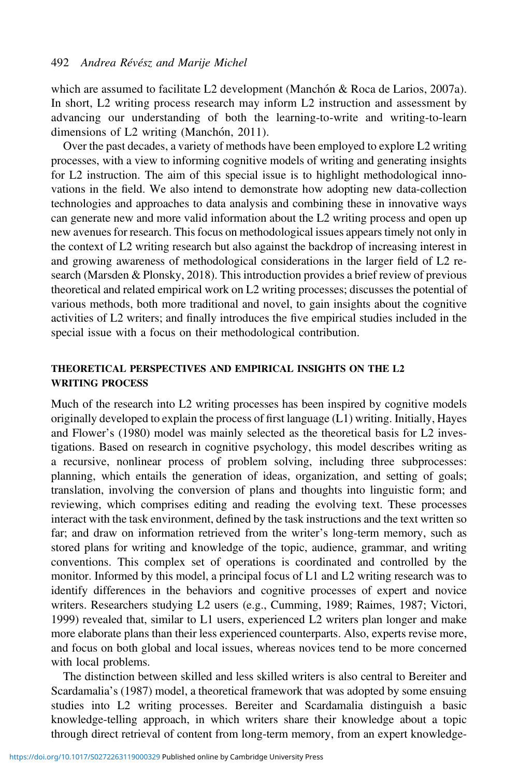which are assumed to facilitate L2 development (Manchón & Roca de Larios, 2007a). In short, L2 writing process research may inform L2 instruction and assessment by advancing our understanding of both the learning-to-write and writing-to-learn dimensions of  $L2$  writing (Manchón, 2011).

Over the past decades, a variety of methods have been employed to explore L2 writing processes, with a view to informing cognitive models of writing and generating insights for L2 instruction. The aim of this special issue is to highlight methodological innovations in the field. We also intend to demonstrate how adopting new data-collection technologies and approaches to data analysis and combining these in innovative ways can generate new and more valid information about the L2 writing process and open up new avenues for research. This focus on methodological issues appears timely not only in the context of L2 writing research but also against the backdrop of increasing interest in and growing awareness of methodological considerations in the larger field of L2 research (Marsden & Plonsky, 2018). This introduction provides a brief review of previous theoretical and related empirical work on L2 writing processes; discusses the potential of various methods, both more traditional and novel, to gain insights about the cognitive activities of L2 writers; and finally introduces the five empirical studies included in the special issue with a focus on their methodological contribution.

### THEORETICAL PERSPECTIVES AND EMPIRICAL INSIGHTS ON THE L2 WRITING PROCESS

Much of the research into L2 writing processes has been inspired by cognitive models originally developed to explain the process of first language (L1) writing. Initially, Hayes and Flower's (1980) model was mainly selected as the theoretical basis for L2 investigations. Based on research in cognitive psychology, this model describes writing as a recursive, nonlinear process of problem solving, including three subprocesses: planning, which entails the generation of ideas, organization, and setting of goals; translation, involving the conversion of plans and thoughts into linguistic form; and reviewing, which comprises editing and reading the evolving text. These processes interact with the task environment, defined by the task instructions and the text written so far; and draw on information retrieved from the writer's long-term memory, such as stored plans for writing and knowledge of the topic, audience, grammar, and writing conventions. This complex set of operations is coordinated and controlled by the monitor. Informed by this model, a principal focus of L1 and L2 writing research was to identify differences in the behaviors and cognitive processes of expert and novice writers. Researchers studying L2 users (e.g., Cumming, 1989; Raimes, 1987; Victori, 1999) revealed that, similar to L1 users, experienced L2 writers plan longer and make more elaborate plans than their less experienced counterparts. Also, experts revise more, and focus on both global and local issues, whereas novices tend to be more concerned with local problems.

The distinction between skilled and less skilled writers is also central to Bereiter and Scardamalia's (1987) model, a theoretical framework that was adopted by some ensuing studies into L2 writing processes. Bereiter and Scardamalia distinguish a basic knowledge-telling approach, in which writers share their knowledge about a topic through direct retrieval of content from long-term memory, from an expert knowledge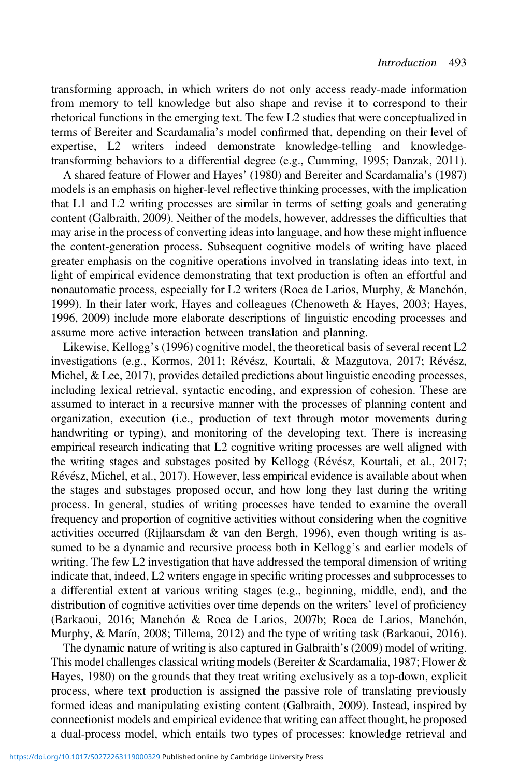transforming approach, in which writers do not only access ready-made information from memory to tell knowledge but also shape and revise it to correspond to their rhetorical functions in the emerging text. The few L2 studies that were conceptualized in terms of Bereiter and Scardamalia's model confirmed that, depending on their level of expertise, L2 writers indeed demonstrate knowledge-telling and knowledgetransforming behaviors to a differential degree (e.g., Cumming, 1995; Danzak, 2011).

A shared feature of Flower and Hayes' (1980) and Bereiter and Scardamalia's (1987) models is an emphasis on higher-level reflective thinking processes, with the implication that L1 and L2 writing processes are similar in terms of setting goals and generating content (Galbraith, 2009). Neither of the models, however, addresses the difficulties that may arise in the process of converting ideas into language, and how these might influence the content-generation process. Subsequent cognitive models of writing have placed greater emphasis on the cognitive operations involved in translating ideas into text, in light of empirical evidence demonstrating that text production is often an effortful and nonautomatic process, especially for L2 writers (Roca de Larios, Murphy, & Manchón, 1999). In their later work, Hayes and colleagues (Chenoweth & Hayes, 2003; Hayes, 1996, 2009) include more elaborate descriptions of linguistic encoding processes and assume more active interaction between translation and planning.

Likewise, Kellogg's (1996) cognitive model, the theoretical basis of several recent L2 investigations (e.g., Kormos, 2011; Révész, Kourtali, & Mazgutova, 2017; Révész, Michel, & Lee, 2017), provides detailed predictions about linguistic encoding processes, including lexical retrieval, syntactic encoding, and expression of cohesion. These are assumed to interact in a recursive manner with the processes of planning content and organization, execution (i.e., production of text through motor movements during handwriting or typing), and monitoring of the developing text. There is increasing empirical research indicating that L2 cognitive writing processes are well aligned with the writing stages and substages posited by Kellogg (Révész, Kourtali, et al., 2017; Révész, Michel, et al., 2017). However, less empirical evidence is available about when the stages and substages proposed occur, and how long they last during the writing process. In general, studies of writing processes have tended to examine the overall frequency and proportion of cognitive activities without considering when the cognitive activities occurred (Rijlaarsdam & van den Bergh, 1996), even though writing is assumed to be a dynamic and recursive process both in Kellogg's and earlier models of writing. The few L2 investigation that have addressed the temporal dimension of writing indicate that, indeed, L2 writers engage in specific writing processes and subprocesses to a differential extent at various writing stages (e.g., beginning, middle, end), and the distribution of cognitive activities over time depends on the writers' level of proficiency (Barkaoui, 2016; Manchón & Roca de Larios, 2007b; Roca de Larios, Manchón, Murphy, & Marín, 2008; Tillema, 2012) and the type of writing task (Barkaoui, 2016).

The dynamic nature of writing is also captured in Galbraith's (2009) model of writing. This model challenges classical writing models (Bereiter & Scardamalia, 1987; Flower & Hayes, 1980) on the grounds that they treat writing exclusively as a top-down, explicit process, where text production is assigned the passive role of translating previously formed ideas and manipulating existing content (Galbraith, 2009). Instead, inspired by connectionist models and empirical evidence that writing can affect thought, he proposed a dual-process model, which entails two types of processes: knowledge retrieval and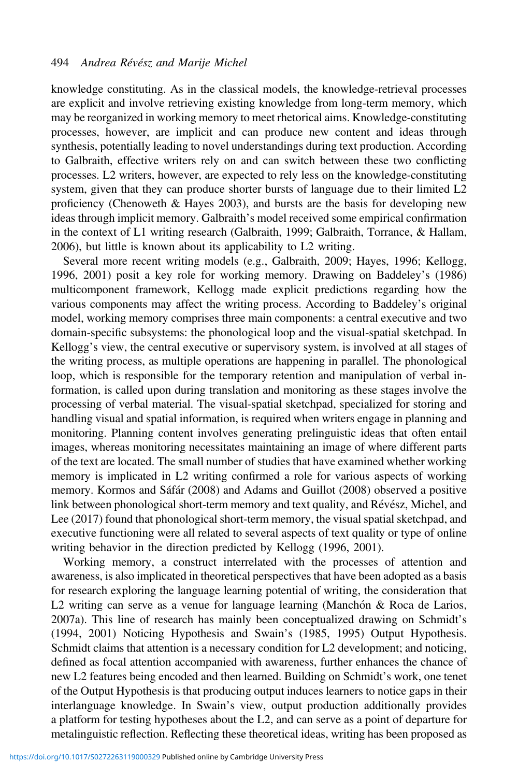knowledge constituting. As in the classical models, the knowledge-retrieval processes are explicit and involve retrieving existing knowledge from long-term memory, which may be reorganized in working memory to meet rhetorical aims. Knowledge-constituting processes, however, are implicit and can produce new content and ideas through synthesis, potentially leading to novel understandings during text production. According to Galbraith, effective writers rely on and can switch between these two conflicting processes. L2 writers, however, are expected to rely less on the knowledge-constituting system, given that they can produce shorter bursts of language due to their limited L2 proficiency (Chenoweth & Hayes 2003), and bursts are the basis for developing new ideas through implicit memory. Galbraith's model received some empirical confirmation in the context of L1 writing research (Galbraith, 1999; Galbraith, Torrance, & Hallam, 2006), but little is known about its applicability to L2 writing.

Several more recent writing models (e.g., Galbraith, 2009; Hayes, 1996; Kellogg, 1996, 2001) posit a key role for working memory. Drawing on Baddeley's (1986) multicomponent framework, Kellogg made explicit predictions regarding how the various components may affect the writing process. According to Baddeley's original model, working memory comprises three main components: a central executive and two domain-specific subsystems: the phonological loop and the visual-spatial sketchpad. In Kellogg's view, the central executive or supervisory system, is involved at all stages of the writing process, as multiple operations are happening in parallel. The phonological loop, which is responsible for the temporary retention and manipulation of verbal information, is called upon during translation and monitoring as these stages involve the processing of verbal material. The visual-spatial sketchpad, specialized for storing and handling visual and spatial information, is required when writers engage in planning and monitoring. Planning content involves generating prelinguistic ideas that often entail images, whereas monitoring necessitates maintaining an image of where different parts of the text are located. The small number of studies that have examined whether working memory is implicated in L2 writing confirmed a role for various aspects of working memory. Kormos and Sáfár (2008) and Adams and Guillot (2008) observed a positive link between phonological short-term memory and text quality, and Révész, Michel, and Lee (2017) found that phonological short-term memory, the visual spatial sketchpad, and executive functioning were all related to several aspects of text quality or type of online writing behavior in the direction predicted by Kellogg (1996, 2001).

Working memory, a construct interrelated with the processes of attention and awareness, is also implicated in theoretical perspectives that have been adopted as a basis for research exploring the language learning potential of writing, the consideration that L2 writing can serve as a venue for language learning (Manchón  $\&$  Roca de Larios, 2007a). This line of research has mainly been conceptualized drawing on Schmidt's (1994, 2001) Noticing Hypothesis and Swain's (1985, 1995) Output Hypothesis. Schmidt claims that attention is a necessary condition for L2 development; and noticing, defined as focal attention accompanied with awareness, further enhances the chance of new L2 features being encoded and then learned. Building on Schmidt's work, one tenet of the Output Hypothesis is that producing output induces learners to notice gaps in their interlanguage knowledge. In Swain's view, output production additionally provides a platform for testing hypotheses about the L2, and can serve as a point of departure for metalinguistic reflection. Reflecting these theoretical ideas, writing has been proposed as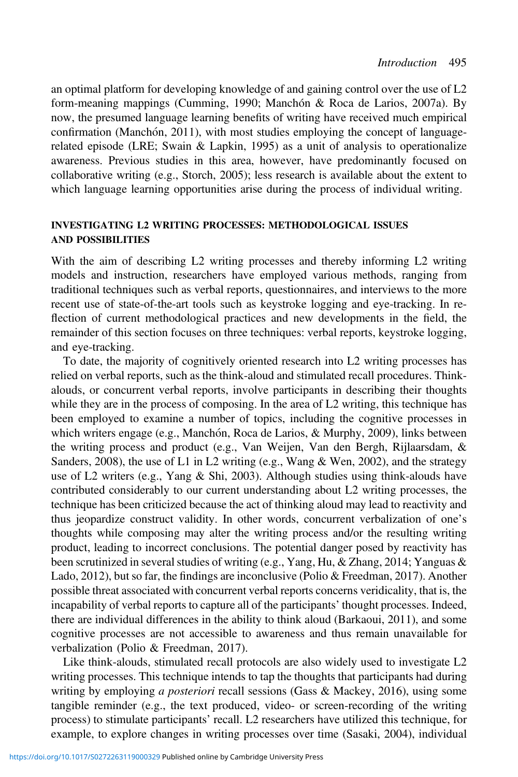an optimal platform for developing knowledge of and gaining control over the use of L2 form-meaning mappings (Cumming, 1990; Manchón & Roca de Larios, 2007a). By now, the presumed language learning benefits of writing have received much empirical confirmation (Manchón, 2011), with most studies employing the concept of languagerelated episode (LRE; Swain & Lapkin, 1995) as a unit of analysis to operationalize awareness. Previous studies in this area, however, have predominantly focused on collaborative writing (e.g., Storch, 2005); less research is available about the extent to which language learning opportunities arise during the process of individual writing.

## INVESTIGATING L2 WRITING PROCESSES: METHODOLOGICAL ISSUES AND POSSIBILITIES

With the aim of describing L2 writing processes and thereby informing L2 writing models and instruction, researchers have employed various methods, ranging from traditional techniques such as verbal reports, questionnaires, and interviews to the more recent use of state-of-the-art tools such as keystroke logging and eye-tracking. In reflection of current methodological practices and new developments in the field, the remainder of this section focuses on three techniques: verbal reports, keystroke logging, and eye-tracking.

To date, the majority of cognitively oriented research into L2 writing processes has relied on verbal reports, such as the think-aloud and stimulated recall procedures. Thinkalouds, or concurrent verbal reports, involve participants in describing their thoughts while they are in the process of composing. In the area of L2 writing, this technique has been employed to examine a number of topics, including the cognitive processes in which writers engage (e.g., Manchón, Roca de Larios, & Murphy, 2009), links between the writing process and product (e.g., Van Weijen, Van den Bergh, Rijlaarsdam, & Sanders, 2008), the use of L1 in L2 writing (e.g., Wang & Wen, 2002), and the strategy use of L2 writers (e.g., Yang & Shi, 2003). Although studies using think-alouds have contributed considerably to our current understanding about L2 writing processes, the technique has been criticized because the act of thinking aloud may lead to reactivity and thus jeopardize construct validity. In other words, concurrent verbalization of one's thoughts while composing may alter the writing process and/or the resulting writing product, leading to incorrect conclusions. The potential danger posed by reactivity has been scrutinized in several studies of writing (e.g., Yang, Hu, & Zhang, 2014; Yanguas & Lado, 2012), but so far, the findings are inconclusive (Polio & Freedman, 2017). Another possible threat associated with concurrent verbal reports concerns veridicality, that is, the incapability of verbal reports to capture all of the participants' thought processes. Indeed, there are individual differences in the ability to think aloud (Barkaoui, 2011), and some cognitive processes are not accessible to awareness and thus remain unavailable for verbalization (Polio & Freedman, 2017).

Like think-alouds, stimulated recall protocols are also widely used to investigate L2 writing processes. This technique intends to tap the thoughts that participants had during writing by employing *a posteriori* recall sessions (Gass & Mackey, 2016), using some tangible reminder (e.g., the text produced, video- or screen-recording of the writing process) to stimulate participants' recall. L2 researchers have utilized this technique, for example, to explore changes in writing processes over time (Sasaki, 2004), individual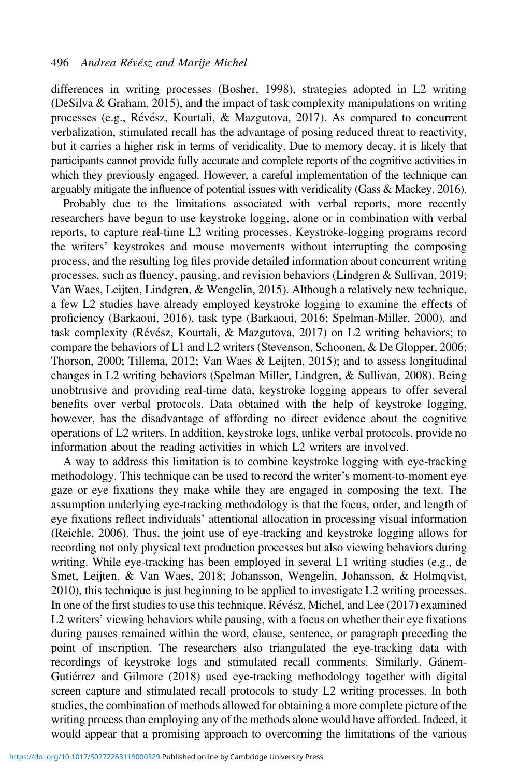differences in writing processes (Bosher, 1998), strategies adopted in L2 writing (DeSilva & Graham, 2015), and the impact of task complexity manipulations on writing processes (e.g., Révész, Kourtali, & Mazgutova, 2017). As compared to concurrent verbalization, stimulated recall has the advantage of posing reduced threat to reactivity, but it carries a higher risk in terms of veridicality. Due to memory decay, it is likely that participants cannot provide fully accurate and complete reports of the cognitive activities in which they previously engaged. However, a careful implementation of the technique can arguably mitigate the influence of potential issues with veridicality (Gass & Mackey, 2016).

Probably due to the limitations associated with verbal reports, more recently researchers have begun to use keystroke logging, alone or in combination with verbal reports, to capture real-time L2 writing processes. Keystroke-logging programs record the writers' keystrokes and mouse movements without interrupting the composing process, and the resulting log files provide detailed information about concurrent writing processes, such as fluency, pausing, and revision behaviors (Lindgren & Sullivan, 2019; Van Waes, Leijten, Lindgren, & Wengelin, 2015). Although a relatively new technique, a few L2 studies have already employed keystroke logging to examine the effects of proficiency (Barkaoui, 2016), task type (Barkaoui, 2016; Spelman-Miller, 2000), and task complexity (Révész, Kourtali, & Mazgutova, 2017) on L2 writing behaviors; to compare the behaviors of L1 and L2 writers (Stevenson, Schoonen, & De Glopper, 2006; Thorson, 2000; Tillema, 2012; Van Waes & Leijten, 2015); and to assess longitudinal changes in L2 writing behaviors (Spelman Miller, Lindgren, & Sullivan, 2008). Being unobtrusive and providing real-time data, keystroke logging appears to offer several benefits over verbal protocols. Data obtained with the help of keystroke logging, however, has the disadvantage of affording no direct evidence about the cognitive operations of L2 writers. In addition, keystroke logs, unlike verbal protocols, provide no information about the reading activities in which L2 writers are involved.

A way to address this limitation is to combine keystroke logging with eye-tracking methodology. This technique can be used to record the writer's moment-to-moment eye gaze or eye fixations they make while they are engaged in composing the text. The assumption underlying eye-tracking methodology is that the focus, order, and length of eye fixations reflect individuals' attentional allocation in processing visual information (Reichle, 2006). Thus, the joint use of eye-tracking and keystroke logging allows for recording not only physical text production processes but also viewing behaviors during writing. While eye-tracking has been employed in several L1 writing studies (e.g., de Smet, Leijten, & Van Waes, 2018; Johansson, Wengelin, Johansson, & Holmqvist, 2010), this technique is just beginning to be applied to investigate L2 writing processes. In one of the first studies to use this technique,  $\mathsf{R\acute{e}v\acute{e}s}z$ , Michel, and Lee (2017) examined L2 writers' viewing behaviors while pausing, with a focus on whether their eye fixations during pauses remained within the word, clause, sentence, or paragraph preceding the point of inscription. The researchers also triangulated the eye-tracking data with recordings of keystroke logs and stimulated recall comments. Similarly, Gánem-Gutiérrez and Gilmore (2018) used eye-tracking methodology together with digital screen capture and stimulated recall protocols to study L2 writing processes. In both studies, the combination of methods allowed for obtaining a more complete picture of the writing process than employing any of the methods alone would have afforded. Indeed, it would appear that a promising approach to overcoming the limitations of the various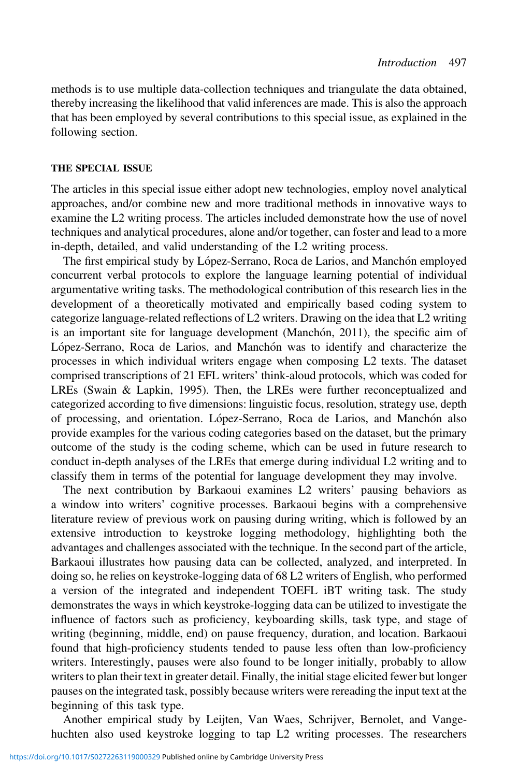methods is to use multiple data-collection techniques and triangulate the data obtained, thereby increasing the likelihood that valid inferences are made. This is also the approach that has been employed by several contributions to this special issue, as explained in the following section.

#### THE SPECIAL ISSUE

The articles in this special issue either adopt new technologies, employ novel analytical approaches, and/or combine new and more traditional methods in innovative ways to examine the L2 writing process. The articles included demonstrate how the use of novel techniques and analytical procedures, alone and/or together, can foster and lead to a more in-depth, detailed, and valid understanding of the L2 writing process.

The first empirical study by López-Serrano, Roca de Larios, and Manchón employed concurrent verbal protocols to explore the language learning potential of individual argumentative writing tasks. The methodological contribution of this research lies in the development of a theoretically motivated and empirically based coding system to categorize language-related reflections of L2 writers. Drawing on the idea that L2 writing is an important site for language development (Manchón,  $2011$ ), the specific aim of López-Serrano, Roca de Larios, and Manchón was to identify and characterize the processes in which individual writers engage when composing L2 texts. The dataset comprised transcriptions of 21 EFL writers' think-aloud protocols, which was coded for LREs (Swain & Lapkin, 1995). Then, the LREs were further reconceptualized and categorized according to five dimensions: linguistic focus, resolution, strategy use, depth of processing, and orientation. López-Serrano, Roca de Larios, and Manchón also provide examples for the various coding categories based on the dataset, but the primary outcome of the study is the coding scheme, which can be used in future research to conduct in-depth analyses of the LREs that emerge during individual L2 writing and to classify them in terms of the potential for language development they may involve.

The next contribution by Barkaoui examines L2 writers' pausing behaviors as a window into writers' cognitive processes. Barkaoui begins with a comprehensive literature review of previous work on pausing during writing, which is followed by an extensive introduction to keystroke logging methodology, highlighting both the advantages and challenges associated with the technique. In the second part of the article, Barkaoui illustrates how pausing data can be collected, analyzed, and interpreted. In doing so, he relies on keystroke-logging data of 68 L2 writers of English, who performed a version of the integrated and independent TOEFL iBT writing task. The study demonstrates the ways in which keystroke-logging data can be utilized to investigate the influence of factors such as proficiency, keyboarding skills, task type, and stage of writing (beginning, middle, end) on pause frequency, duration, and location. Barkaoui found that high-proficiency students tended to pause less often than low-proficiency writers. Interestingly, pauses were also found to be longer initially, probably to allow writers to plan their text in greater detail. Finally, the initial stage elicited fewer but longer pauses on the integrated task, possibly because writers were rereading the input text at the beginning of this task type.

Another empirical study by Leijten, Van Waes, Schrijver, Bernolet, and Vangehuchten also used keystroke logging to tap L2 writing processes. The researchers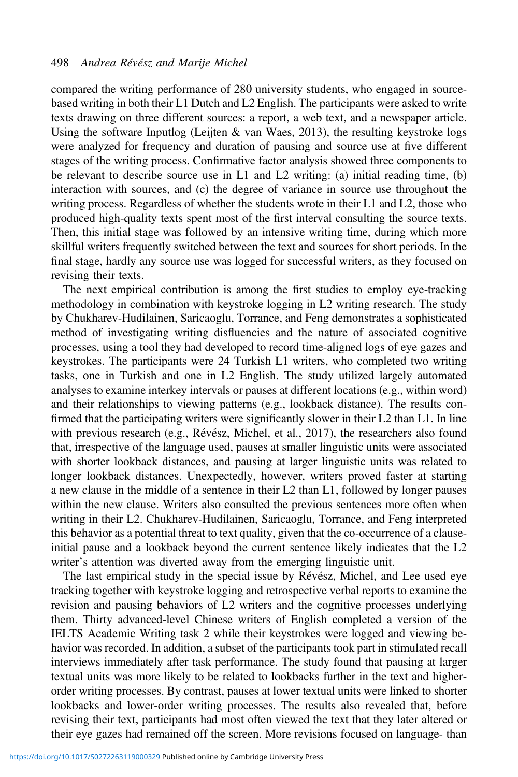compared the writing performance of 280 university students, who engaged in sourcebased writing in both their L1 Dutch and L2 English. The participants were asked to write texts drawing on three different sources: a report, a web text, and a newspaper article. Using the software Inputlog (Leijten & van Waes, 2013), the resulting keystroke logs were analyzed for frequency and duration of pausing and source use at five different stages of the writing process. Confirmative factor analysis showed three components to be relevant to describe source use in L1 and L2 writing: (a) initial reading time, (b) interaction with sources, and (c) the degree of variance in source use throughout the writing process. Regardless of whether the students wrote in their L1 and L2, those who produced high-quality texts spent most of the first interval consulting the source texts. Then, this initial stage was followed by an intensive writing time, during which more skillful writers frequently switched between the text and sources for short periods. In the final stage, hardly any source use was logged for successful writers, as they focused on revising their texts.

The next empirical contribution is among the first studies to employ eye-tracking methodology in combination with keystroke logging in L2 writing research. The study by Chukharev-Hudilainen, Saricaoglu, Torrance, and Feng demonstrates a sophisticated method of investigating writing disfluencies and the nature of associated cognitive processes, using a tool they had developed to record time-aligned logs of eye gazes and keystrokes. The participants were 24 Turkish L1 writers, who completed two writing tasks, one in Turkish and one in L2 English. The study utilized largely automated analyses to examine interkey intervals or pauses at different locations (e.g., within word) and their relationships to viewing patterns (e.g., lookback distance). The results confirmed that the participating writers were significantly slower in their L2 than L1. In line with previous research (e.g., Révész, Michel, et al., 2017), the researchers also found that, irrespective of the language used, pauses at smaller linguistic units were associated with shorter lookback distances, and pausing at larger linguistic units was related to longer lookback distances. Unexpectedly, however, writers proved faster at starting a new clause in the middle of a sentence in their L2 than L1, followed by longer pauses within the new clause. Writers also consulted the previous sentences more often when writing in their L2. Chukharev-Hudilainen, Saricaoglu, Torrance, and Feng interpreted this behavior as a potential threat to text quality, given that the co-occurrence of a clauseinitial pause and a lookback beyond the current sentence likely indicates that the L2 writer's attention was diverted away from the emerging linguistic unit.

The last empirical study in the special issue by Révész, Michel, and Lee used eye tracking together with keystroke logging and retrospective verbal reports to examine the revision and pausing behaviors of L2 writers and the cognitive processes underlying them. Thirty advanced-level Chinese writers of English completed a version of the IELTS Academic Writing task 2 while their keystrokes were logged and viewing behavior was recorded. In addition, a subset of the participants took part in stimulated recall interviews immediately after task performance. The study found that pausing at larger textual units was more likely to be related to lookbacks further in the text and higherorder writing processes. By contrast, pauses at lower textual units were linked to shorter lookbacks and lower-order writing processes. The results also revealed that, before revising their text, participants had most often viewed the text that they later altered or their eye gazes had remained off the screen. More revisions focused on language- than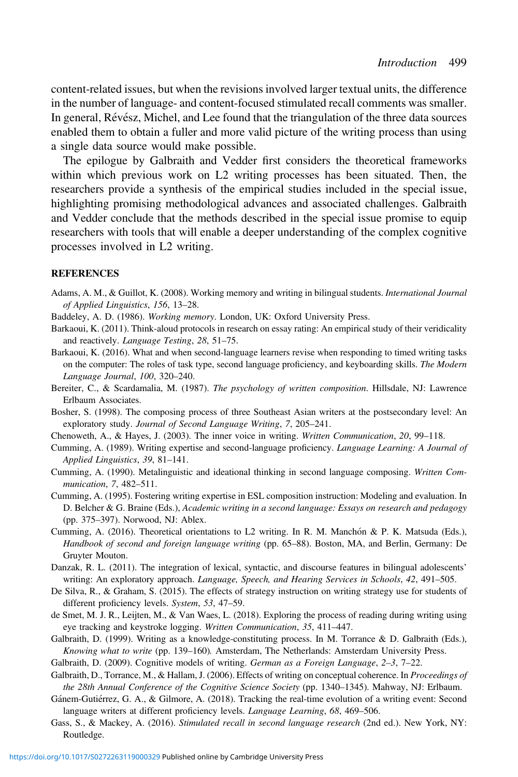content-related issues, but when the revisions involved larger textual units, the difference in the number of language- and content-focused stimulated recall comments was smaller. In general, Révész, Michel, and Lee found that the triangulation of the three data sources enabled them to obtain a fuller and more valid picture of the writing process than using a single data source would make possible.

The epilogue by Galbraith and Vedder first considers the theoretical frameworks within which previous work on L2 writing processes has been situated. Then, the researchers provide a synthesis of the empirical studies included in the special issue, highlighting promising methodological advances and associated challenges. Galbraith and Vedder conclude that the methods described in the special issue promise to equip researchers with tools that will enable a deeper understanding of the complex cognitive processes involved in L2 writing.

#### REFERENCES

- Adams, A. M., & Guillot, K. (2008). Working memory and writing in bilingual students. International Journal of Applied Linguistics, 156, 13–28.
- Baddeley, A. D. (1986). Working memory. London, UK: Oxford University Press.
- Barkaoui, K. (2011). Think-aloud protocols in research on essay rating: An empirical study of their veridicality and reactively. Language Testing, 28, 51–75.
- Barkaoui, K. (2016). What and when second-language learners revise when responding to timed writing tasks on the computer: The roles of task type, second language proficiency, and keyboarding skills. The Modern Language Journal, 100, 320–240.
- Bereiter, C., & Scardamalia, M. (1987). The psychology of written composition. Hillsdale, NJ: Lawrence Erlbaum Associates.
- Bosher, S. (1998). The composing process of three Southeast Asian writers at the postsecondary level: An exploratory study. Journal of Second Language Writing, 7, 205–241.
- Chenoweth, A., & Hayes, J. (2003). The inner voice in writing. Written Communication, 20, 99–118.
- Cumming, A. (1989). Writing expertise and second-language proficiency. Language Learning: A Journal of Applied Linguistics, 39, 81–141.
- Cumming, A. (1990). Metalinguistic and ideational thinking in second language composing. Written Communication, 7, 482–511.
- Cumming, A. (1995). Fostering writing expertise in ESL composition instruction: Modeling and evaluation. In D. Belcher & G. Braine (Eds.), Academic writing in a second language: Essays on research and pedagogy (pp. 375–397). Norwood, NJ: Ablex.
- Cumming, A. (2016). Theoretical orientations to L2 writing. In R. M. Manchón & P. K. Matsuda (Eds.), Handbook of second and foreign language writing (pp. 65–88). Boston, MA, and Berlin, Germany: De Gruyter Mouton.
- Danzak, R. L. (2011). The integration of lexical, syntactic, and discourse features in bilingual adolescents' writing: An exploratory approach. Language, Speech, and Hearing Services in Schools, 42, 491–505.
- De Silva, R., & Graham, S. (2015). The effects of strategy instruction on writing strategy use for students of different proficiency levels. System, 53, 47–59.
- de Smet, M. J. R., Leijten, M., & Van Waes, L. (2018). Exploring the process of reading during writing using eye tracking and keystroke logging. Written Communication, 35, 411–447.
- Galbraith, D. (1999). Writing as a knowledge-constituting process. In M. Torrance & D. Galbraith (Eds.), Knowing what to write (pp. 139–160). Amsterdam, The Netherlands: Amsterdam University Press.
- Galbraith, D. (2009). Cognitive models of writing. German as a Foreign Language, 2–3, 7–22.
- Galbraith, D., Torrance, M., & Hallam, J. (2006). Effects of writing on conceptual coherence. In Proceedings of the 28th Annual Conference of the Cognitive Science Society (pp. 1340–1345). Mahway, NJ: Erlbaum.
- Gánem-Gutiérrez, G. A., & Gilmore, A. (2018). Tracking the real-time evolution of a writing event: Second language writers at different proficiency levels. Language Learning, 68, 469–506.
- Gass, S., & Mackey, A. (2016). Stimulated recall in second language research (2nd ed.). New York, NY: Routledge.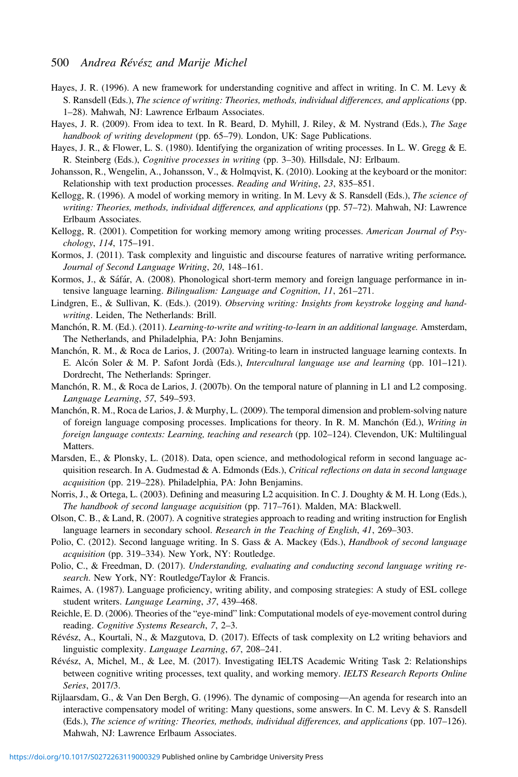#### 500 Andrea Révész and Marije Michel

- Hayes, J. R. (1996). A new framework for understanding cognitive and affect in writing. In C. M. Levy & S. Ransdell (Eds.), The science of writing: Theories, methods, individual differences, and applications (pp. 1–28). Mahwah, NJ: Lawrence Erlbaum Associates.
- Hayes, J. R. (2009). From idea to text. In R. Beard, D. Myhill, J. Riley, & M. Nystrand (Eds.), The Sage handbook of writing development (pp. 65-79). London, UK: Sage Publications.
- Hayes, J. R., & Flower, L. S. (1980). Identifying the organization of writing processes. In L. W. Gregg & E. R. Steinberg (Eds.), Cognitive processes in writing (pp. 3–30). Hillsdale, NJ: Erlbaum.
- Johansson, R., Wengelin, A., Johansson, V., & Holmqvist, K. (2010). Looking at the keyboard or the monitor: Relationship with text production processes. Reading and Writing, 23, 835–851.
- Kellogg, R. (1996). A model of working memory in writing. In M. Levy & S. Ransdell (Eds.), The science of writing: Theories, methods, individual differences, and applications (pp. 57-72). Mahwah, NJ: Lawrence Erlbaum Associates.
- Kellogg, R. (2001). Competition for working memory among writing processes. American Journal of Psychology, 114, 175–191.
- Kormos, J. (2011). Task complexity and linguistic and discourse features of narrative writing performance. Journal of Second Language Writing, 20, 148–161.
- Kormos, J., & Sáfár, A. (2008). Phonological short-term memory and foreign language performance in intensive language learning. Bilingualism: Language and Cognition, 11, 261–271.
- Lindgren, E., & Sullivan, K. (Eds.). (2019). Observing writing: Insights from keystroke logging and handwriting. Leiden, The Netherlands: Brill.
- Manchón, R. M. (Ed.). (2011). Learning-to-write and writing-to-learn in an additional language. Amsterdam, The Netherlands, and Philadelphia, PA: John Benjamins.
- Manchón, R. M., & Roca de Larios, J. (2007a). Writing-to learn in instructed language learning contexts. In E. Alcón Soler & M. P. Safont Jordà (Eds.), *Intercultural language use and learning* (pp.  $101-121$ ). Dordrecht, The Netherlands: Springer.
- Manchón, R. M., & Roca de Larios, J. (2007b). On the temporal nature of planning in L1 and L2 composing. Language Learning, 57, 549–593.
- Manchón, R. M., Roca de Larios, J. & Murphy, L. (2009). The temporal dimension and problem-solving nature of foreign language composing processes. Implications for theory. In R. M. Manchón (Ed.), Writing in foreign language contexts: Learning, teaching and research (pp. 102–124). Clevendon, UK: Multilingual Matters.
- Marsden, E., & Plonsky, L. (2018). Data, open science, and methodological reform in second language acquisition research. In A. Gudmestad & A. Edmonds (Eds.), Critical reflections on data in second language acquisition (pp. 219–228). Philadelphia, PA: John Benjamins.
- Norris, J., & Ortega, L. (2003). Defining and measuring L2 acquisition. In C. J. Doughty & M. H. Long (Eds.), The handbook of second language acquisition (pp. 717–761). Malden, MA: Blackwell.
- Olson, C. B., & Land, R. (2007). A cognitive strategies approach to reading and writing instruction for English language learners in secondary school. Research in the Teaching of English, 41, 269–303.
- Polio, C. (2012). Second language writing. In S. Gass & A. Mackey (Eds.), Handbook of second language acquisition (pp. 319–334). New York, NY: Routledge.
- Polio, C., & Freedman, D. (2017). Understanding, evaluating and conducting second language writing research. New York, NY: Routledge/Taylor & Francis.
- Raimes, A. (1987). Language proficiency, writing ability, and composing strategies: A study of ESL college student writers. Language Learning, 37, 439–468.
- Reichle, E. D. (2006). Theories of the "eye-mind" link: Computational models of eye-movement control during reading. Cognitive Systems Research, 7, 2–3.
- Révész, A., Kourtali, N., & Mazgutova, D. (2017). Effects of task complexity on L2 writing behaviors and linguistic complexity. Language Learning, 67, 208–241.
- Révész, A, Michel, M., & Lee, M. (2017). Investigating IELTS Academic Writing Task 2: Relationships between cognitive writing processes, text quality, and working memory. IELTS Research Reports Online Series, 2017/3.
- Rijlaarsdam, G., & Van Den Bergh, G. (1996). The dynamic of composing—An agenda for research into an interactive compensatory model of writing: Many questions, some answers. In C. M. Levy & S. Ransdell (Eds.), The science of writing: Theories, methods, individual differences, and applications (pp. 107–126). Mahwah, NJ: Lawrence Erlbaum Associates.